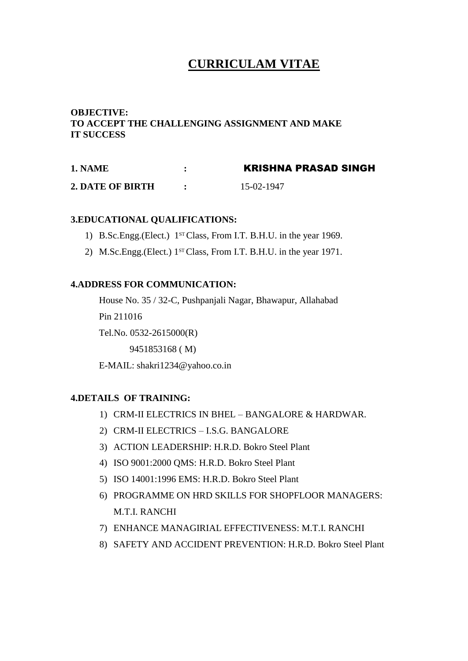## **CURRICULAM VITAE**

### **OBJECTIVE: TO ACCEPT THE CHALLENGING ASSIGNMENT AND MAKE IT SUCCESS**

| 1. NAME          | <b>KRISHNA PRASAD SINGH</b> |
|------------------|-----------------------------|
| 2. DATE OF BIRTH | 15-02-1947                  |

#### **3.EDUCATIONAL QUALIFICATIONS:**

- 1) B.Sc.Engg.(Elect.) 1<sup>st</sup> Class, From I.T. B.H.U. in the year 1969.
- 2) M.Sc.Engg.(Elect.) 1<sup>st</sup> Class, From I.T. B.H.U. in the year 1971.

#### **4.ADDRESS FOR COMMUNICATION:**

House No. 35 / 32-C, Pushpanjali Nagar, Bhawapur, Allahabad

Pin 211016

Tel.No. 0532-2615000(R)

9451853168 ( M)

E-MAIL: shakri1234@yahoo.co.in

#### **4.DETAILS OF TRAINING:**

- 1) CRM-II ELECTRICS IN BHEL BANGALORE & HARDWAR.
- 2) CRM-II ELECTRICS I.S.G. BANGALORE
- 3) ACTION LEADERSHIP: H.R.D. Bokro Steel Plant
- 4) ISO 9001:2000 QMS: H.R.D. Bokro Steel Plant
- 5) ISO 14001:1996 EMS: H.R.D. Bokro Steel Plant
- 6) PROGRAMME ON HRD SKILLS FOR SHOPFLOOR MANAGERS: M.T.I. RANCHI
- 7) ENHANCE MANAGIRIAL EFFECTIVENESS: M.T.I. RANCHI
- 8) SAFETY AND ACCIDENT PREVENTION: H.R.D. Bokro Steel Plant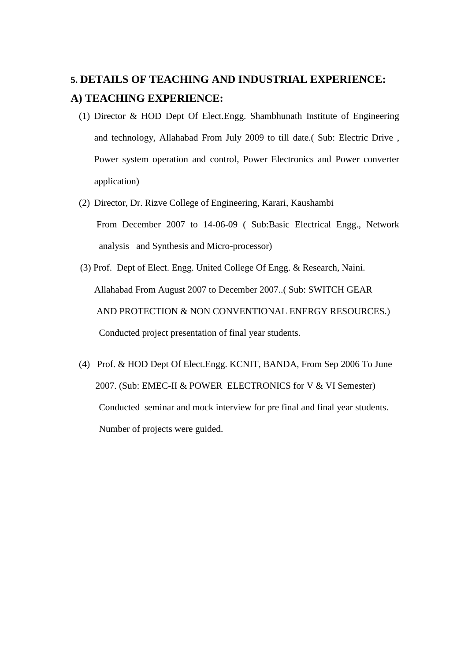# **5. DETAILS OF TEACHING AND INDUSTRIAL EXPERIENCE: A) TEACHING EXPERIENCE:**

- (1) Director & HOD Dept Of Elect.Engg. Shambhunath Institute of Engineering and technology, Allahabad From July 2009 to till date.( Sub: Electric Drive , Power system operation and control, Power Electronics and Power converter application)
- (2) Director, Dr. Rizve College of Engineering, Karari, Kaushambi From December 2007 to 14-06-09 ( Sub:Basic Electrical Engg., Network analysis and Synthesis and Micro-processor)
- (3) Prof. Dept of Elect. Engg. United College Of Engg. & Research, Naini. Allahabad From August 2007 to December 2007..( Sub: SWITCH GEAR AND PROTECTION & NON CONVENTIONAL ENERGY RESOURCES.) Conducted project presentation of final year students.
- (4) Prof. & HOD Dept Of Elect.Engg. KCNIT, BANDA, From Sep 2006 To June 2007. (Sub: EMEC-II & POWER ELECTRONICS for V & VI Semester) Conducted seminar and mock interview for pre final and final year students. Number of projects were guided.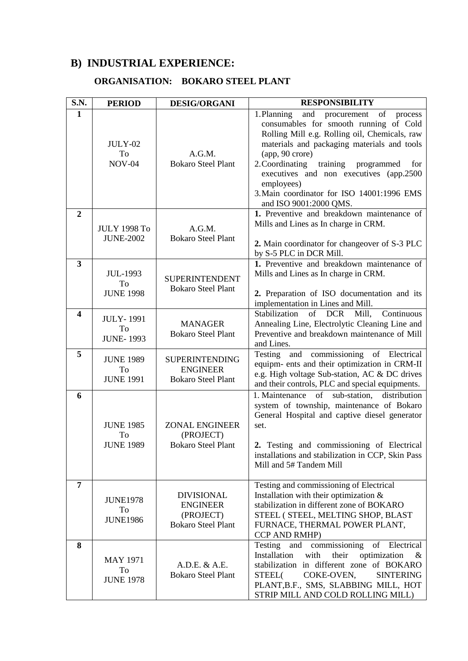# **B) INDUSTRIAL EXPERIENCE:**

## **ORGANISATION: BOKARO STEEL PLANT**

| S.N.                    | <b>PERIOD</b>                              | <b>DESIG/ORGANI</b>                                                            | <b>RESPONSIBILITY</b>                                                                                                                                                                                                                                                                                                                                                                              |
|-------------------------|--------------------------------------------|--------------------------------------------------------------------------------|----------------------------------------------------------------------------------------------------------------------------------------------------------------------------------------------------------------------------------------------------------------------------------------------------------------------------------------------------------------------------------------------------|
| 1                       | <b>JULY-02</b><br>To<br><b>NOV-04</b>      | A.G.M.<br><b>Bokaro Steel Plant</b>                                            | 1. Planning<br>and<br>of<br>procurement<br>process<br>consumables for smooth running of Cold<br>Rolling Mill e.g. Rolling oil, Chemicals, raw<br>materials and packaging materials and tools<br>(app, 90 crore)<br>2. Coordinating<br>training programmed<br>for<br>executives and non executives (app.2500)<br>employees)<br>3. Main coordinator for ISO 14001:1996 EMS<br>and ISO 9001:2000 QMS. |
| $\overline{2}$          | <b>JULY 1998 To</b><br><b>JUNE-2002</b>    | A.G.M.<br><b>Bokaro Steel Plant</b>                                            | 1. Preventive and breakdown maintenance of<br>Mills and Lines as In charge in CRM.<br>2. Main coordinator for changeover of S-3 PLC<br>by S-5 PLC in DCR Mill.                                                                                                                                                                                                                                     |
| $\overline{\mathbf{3}}$ | <b>JUL-1993</b><br>To<br><b>JUNE 1998</b>  | <b>SUPERINTENDENT</b><br><b>Bokaro Steel Plant</b>                             | 1. Preventive and breakdown maintenance of<br>Mills and Lines as In charge in CRM.<br>2. Preparation of ISO documentation and its<br>implementation in Lines and Mill.                                                                                                                                                                                                                             |
| $\overline{\mathbf{4}}$ | <b>JULY-1991</b><br>To<br><b>JUNE-1993</b> | <b>MANAGER</b><br><b>Bokaro Steel Plant</b>                                    | of DCR<br>Stabilization<br>Mill,<br>Continuous<br>Annealing Line, Electrolytic Cleaning Line and<br>Preventive and breakdown maintenance of Mill<br>and Lines.                                                                                                                                                                                                                                     |
| 5                       | <b>JUNE 1989</b><br>To<br><b>JUNE 1991</b> | <b>SUPERINTENDING</b><br><b>ENGINEER</b><br><b>Bokaro Steel Plant</b>          | Testing and commissioning of Electrical<br>equipm- ents and their optimization in CRM-II<br>e.g. High voltage Sub-station, AC & DC drives<br>and their controls, PLC and special equipments.                                                                                                                                                                                                       |
| 6                       | <b>JUNE 1985</b><br>To<br><b>JUNE 1989</b> | <b>ZONAL ENGINEER</b><br>(PROJECT)<br><b>Bokaro Steel Plant</b>                | 1. Maintenance of<br>sub-station, distribution<br>system of township, maintenance of Bokaro<br>General Hospital and captive diesel generator<br>set.<br>2. Testing and commissioning of Electrical<br>installations and stabilization in CCP, Skin Pass<br>Mill and 5# Tandem Mill                                                                                                                 |
| 7                       | <b>JUNE1978</b><br>To<br><b>JUNE1986</b>   | <b>DIVISIONAL</b><br><b>ENGINEER</b><br>(PROJECT)<br><b>Bokaro Steel Plant</b> | Testing and commissioning of Electrical<br>Installation with their optimization &<br>stabilization in different zone of BOKARO<br>STEEL (STEEL, MELTING SHOP, BLAST<br>FURNACE, THERMAL POWER PLANT,<br>CCP AND RMHP)                                                                                                                                                                              |
| 8                       | <b>MAY 1971</b><br>To<br><b>JUNE 1978</b>  | A.D.E. & A.E.<br><b>Bokaro Steel Plant</b>                                     | Testing<br>and commissioning<br>of Electrical<br>Installation<br>with<br>their<br>optimization<br>$\alpha$<br>stabilization in different zone of BOKARO<br>STEEL(<br>COKE-OVEN,<br><b>SINTERING</b><br>PLANT, B.F., SMS, SLABBING MILL, HOT<br>STRIP MILL AND COLD ROLLING MILL)                                                                                                                   |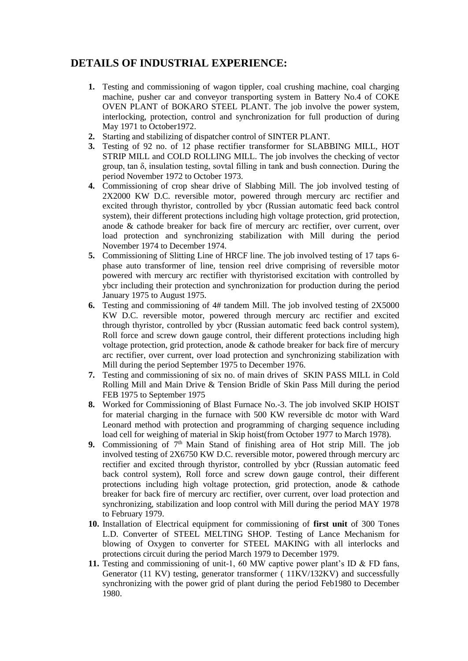## **DETAILS OF INDUSTRIAL EXPERIENCE:**

- **1.** Testing and commissioning of wagon tippler, coal crushing machine, coal charging machine, pusher car and conveyor transporting system in Battery No.4 of COKE OVEN PLANT of BOKARO STEEL PLANT. The job involve the power system, interlocking, protection, control and synchronization for full production of during May 1971 to October1972.
- **2.** Starting and stabilizing of dispatcher control of SINTER PLANT.
- **3.** Testing of 92 no. of 12 phase rectifier transformer for SLABBING MILL, HOT STRIP MILL and COLD ROLLING MILL. The job involves the checking of vector group, tan δ, insulation testing, sovtal filling in tank and bush connection. During the period November 1972 to October 1973.
- **4.** Commissioning of crop shear drive of Slabbing Mill. The job involved testing of 2X2000 KW D.C. reversible motor, powered through mercury arc rectifier and excited through thyristor, controlled by ybcr (Russian automatic feed back control system), their different protections including high voltage protection, grid protection, anode & cathode breaker for back fire of mercury arc rectifier, over current, over load protection and synchronizing stabilization with Mill during the period November 1974 to December 1974.
- **5.** Commissioning of Slitting Line of HRCF line. The job involved testing of 17 taps 6 phase auto transformer of line, tension reel drive comprising of reversible motor powered with mercury arc rectifier with thyristorised excitation with controlled by ybcr including their protection and synchronization for production during the period January 1975 to August 1975.
- **6.** Testing and commissioning of 4# tandem Mill. The job involved testing of 2X5000 KW D.C. reversible motor, powered through mercury arc rectifier and excited through thyristor, controlled by ybcr (Russian automatic feed back control system), Roll force and screw down gauge control, their different protections including high voltage protection, grid protection, anode & cathode breaker for back fire of mercury arc rectifier, over current, over load protection and synchronizing stabilization with Mill during the period September 1975 to December 1976.
- **7.** Testing and commissioning of six no. of main drives of SKIN PASS MILL in Cold Rolling Mill and Main Drive & Tension Bridle of Skin Pass Mill during the period FEB 1975 to September 1975
- **8.** Worked for Commissioning of Blast Furnace No.-3. The job involved SKIP HOIST for material charging in the furnace with 500 KW reversible dc motor with Ward Leonard method with protection and programming of charging sequence including load cell for weighing of material in Skip hoist(from October 1977 to March 1978).
- **9.** Commissioning of  $7<sup>th</sup>$  Main Stand of finishing area of Hot strip Mill. The job involved testing of 2X6750 KW D.C. reversible motor, powered through mercury arc rectifier and excited through thyristor, controlled by ybcr (Russian automatic feed back control system), Roll force and screw down gauge control, their different protections including high voltage protection, grid protection, anode & cathode breaker for back fire of mercury arc rectifier, over current, over load protection and synchronizing, stabilization and loop control with Mill during the period MAY 1978 to February 1979.
- **10.** Installation of Electrical equipment for commissioning of **first unit** of 300 Tones L.D. Converter of STEEL MELTING SHOP. Testing of Lance Mechanism for blowing of Oxygen to converter for STEEL MAKING with all interlocks and protections circuit during the period March 1979 to December 1979.
- **11.** Testing and commissioning of unit-1, 60 MW captive power plant's ID & FD fans, Generator (11 KV) testing, generator transformer ( 11KV/132KV) and successfully synchronizing with the power grid of plant during the period Feb1980 to December 1980.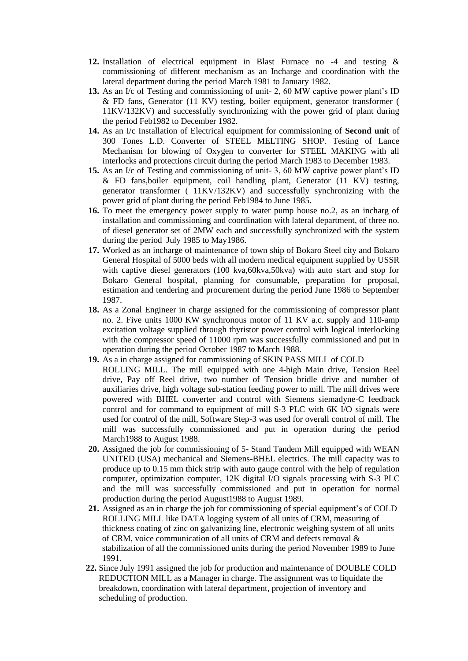- **12.** Installation of electrical equipment in Blast Furnace no -4 and testing & commissioning of different mechanism as an Incharge and coordination with the lateral department during the period March 1981 to January 1982.
- **13.** As an I/c of Testing and commissioning of unit- 2, 60 MW captive power plant's ID & FD fans, Generator (11 KV) testing, boiler equipment, generator transformer ( 11KV/132KV) and successfully synchronizing with the power grid of plant during the period Feb1982 to December 1982.
- **14.** As an I/c Installation of Electrical equipment for commissioning of **Second unit** of 300 Tones L.D. Converter of STEEL MELTING SHOP. Testing of Lance Mechanism for blowing of Oxygen to converter for STEEL MAKING with all interlocks and protections circuit during the period March 1983 to December 1983.
- **15.** As an I/c of Testing and commissioning of unit- 3, 60 MW captive power plant's ID & FD fans,boiler equipment, coil handling plant, Generator (11 KV) testing, generator transformer ( 11KV/132KV) and successfully synchronizing with the power grid of plant during the period Feb1984 to June 1985.
- **16.** To meet the emergency power supply to water pump house no.2, as an incharg of installation and commissioning and coordination with lateral department, of three no. of diesel generator set of 2MW each and successfully synchronized with the system during the period July 1985 to May1986.
- **17.** Worked as an incharge of maintenance of town ship of Bokaro Steel city and Bokaro General Hospital of 5000 beds with all modern medical equipment supplied by USSR with captive diesel generators (100 kva,60kva,50kva) with auto start and stop for Bokaro General hospital, planning for consumable, preparation for proposal, estimation and tendering and procurement during the period June 1986 to September 1987.
- **18.** As a Zonal Engineer in charge assigned for the commissioning of compressor plant no. 2. Five units 1000 KW synchronous motor of 11 KV a.c. supply and 110-amp excitation voltage supplied through thyristor power control with logical interlocking with the compressor speed of 11000 rpm was successfully commissioned and put in operation during the period October 1987 to March 1988.
- **19.** As a in charge assigned for commissioning of SKIN PASS MILL of COLD ROLLING MILL. The mill equipped with one 4-high Main drive, Tension Reel drive, Pay off Reel drive, two number of Tension bridle drive and number of auxiliaries drive, high voltage sub-station feeding power to mill. The mill drives were powered with BHEL converter and control with Siemens siemadyne-C feedback control and for command to equipment of mill S-3 PLC with 6K I/O signals were used for control of the mill, Software Step-3 was used for overall control of mill. The mill was successfully commissioned and put in operation during the period March1988 to August 1988.
- **20.** Assigned the job for commissioning of 5- Stand Tandem Mill equipped with WEAN UNITED (USA) mechanical and Siemens-BHEL electrics. The mill capacity was to produce up to 0.15 mm thick strip with auto gauge control with the help of regulation computer, optimization computer, 12K digital I/O signals processing with S-3 PLC and the mill was successfully commissioned and put in operation for normal production during the period August1988 to August 1989.
- **21.** Assigned as an in charge the job for commissioning of special equipment's of COLD ROLLING MILL like DATA logging system of all units of CRM, measuring of thickness coating of zinc on galvanizing line, electronic weighing system of all units of CRM, voice communication of all units of CRM and defects removal & stabilization of all the commissioned units during the period November 1989 to June 1991.
- **22.** Since July 1991 assigned the job for production and maintenance of DOUBLE COLD REDUCTION MILL as a Manager in charge. The assignment was to liquidate the breakdown, coordination with lateral department, projection of inventory and scheduling of production.